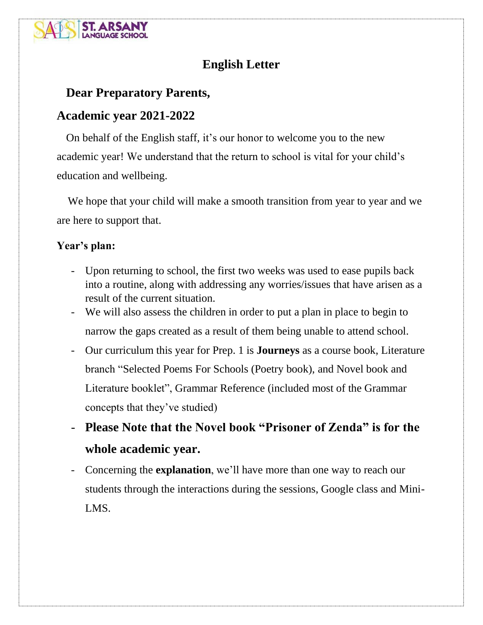

# **English Letter**

## **Dear Preparatory Parents,**

## **Academic year 2021-2022**

 On behalf of the English staff, it's our honor to welcome you to the new academic year! We understand that the return to school is vital for your child's education and wellbeing.

 We hope that your child will make a smooth transition from year to year and we are here to support that.

#### **Year's plan:**

- Upon returning to school, the first two weeks was used to ease pupils back into a routine, along with addressing any worries/issues that have arisen as a result of the current situation.
- We will also assess the children in order to put a plan in place to begin to narrow the gaps created as a result of them being unable to attend school.
- Our curriculum this year for Prep. 1 is **Journeys** as a course book, Literature branch "Selected Poems For Schools (Poetry book), and Novel book and Literature booklet", Grammar Reference (included most of the Grammar concepts that they've studied)
- **Please Note that the Novel book "Prisoner of Zenda" is for the whole academic year.**
- Concerning the **explanation**, we'll have more than one way to reach our students through the interactions during the sessions, Google class and Mini-LMS.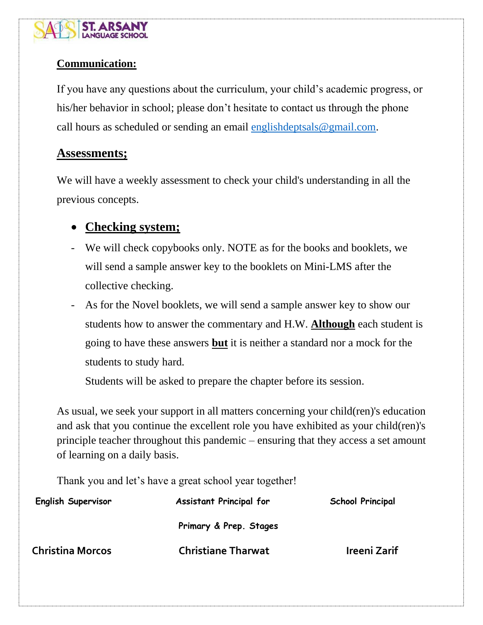

### **Communication:**

If you have any questions about the curriculum, your child's academic progress, or his/her behavior in school; please don't hesitate to contact us through the phone call hours as scheduled or sending an email [englishdeptsals@gmail.com.](mailto:englishdeptsals@gmail.com)

### **Assessments;**

We will have a weekly assessment to check your child's understanding in all the previous concepts.

## • **Checking system;**

- We will check copybooks only. NOTE as for the books and booklets, we will send a sample answer key to the booklets on Mini-LMS after the collective checking.
- As for the Novel booklets, we will send a sample answer key to show our students how to answer the commentary and H.W. **Although** each student is going to have these answers **but** it is neither a standard nor a mock for the students to study hard.

Students will be asked to prepare the chapter before its session.

As usual, we seek your support in all matters concerning your child(ren)'s education and ask that you continue the excellent role you have exhibited as your child(ren)'s principle teacher throughout this pandemic – ensuring that they access a set amount of learning on a daily basis.

Thank you and let's have a great school year together!

| <b>English Supervisor</b> | <b>Assistant Principal for</b> | School Principal |
|---------------------------|--------------------------------|------------------|
|                           | Primary & Prep. Stages         |                  |
| <b>Christina Morcos</b>   | <b>Christiane Tharwat</b>      | Ireeni Zarif     |